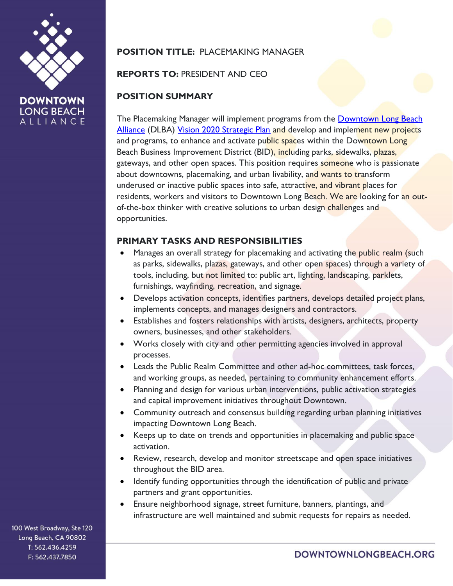

# **POSITION TITLE:** PLACEMAKING MANAGER

#### **REPORTS TO:** PRESIDENT AND CEO

### **POSITION SUMMARY**

The Placemaking Manager will implement programs from the [Downtown Long Beach](https://downtownlongbeach.org/)  [Alliance](https://downtownlongbeach.org/) (DLBA) [Vision 2020 Strategic Plan](https://downtownlongbeach.org/wp-content/uploads/Downtown-Long-Beach-Vision-2020-Plan-Framework.pdf) and develop and implement new projects and programs, to enhance and activate public spaces within the Downtown Long Beach Business Improvement District (BID), including parks, sidewalks, plazas, gateways, and other open spaces. This position requires someone who is passionate about downtowns, placemaking, and urban livability, and wants to transform underused or inactive public spaces into safe, attractive, and vibrant places for residents, workers and visitors to Downtown Long Beach. We are looking for an outof-the-box thinker with creative solutions to urban design challenges and opportunities.

### **PRIMARY TASKS AND RESPONSIBILITIES**

- Manages an overall strategy for placemaking and activating the public realm (such as parks, sidewalks, plazas, gateways, and other open spaces) through a variety of tools, including, but not limited to: public art, lighting, landscaping, parklets, furnishings, wayfinding, recreation, and signage.
- Develops activation concepts, identifies partners, develops detailed project plans, implements concepts, and manages designers and contractors.
- Establishes and fosters relationships with artists, designers, architects, property owners, businesses, and other stakeholders.
- Works closely with city and other permitting agencies involved in approval processes.
- Leads the Public Realm Committee and other ad-hoc committees, task forces, and working groups, as needed, pertaining to community enhancement efforts.
- Planning and design for various urban interventions, public activation strategies and capital improvement initiatives throughout Downtown.
- Community outreach and consensus building regarding urban planning initiatives impacting Downtown Long Beach.
- Keeps up to date on trends and opportunities in placemaking and public space activation.
- Review, research, develop and monitor streetscape and open space initiatives throughout the BID area.
- Identify funding opportunities through the identification of public and private partners and grant opportunities.
- Ensure neighborhood signage, street furniture, banners, plantings, and infrastructure are well maintained and submit requests for repairs as needed.

100 West Broadway, Ste 120 Long Beach, CA 90802 T: 562.436.4259 F: 562.437.7850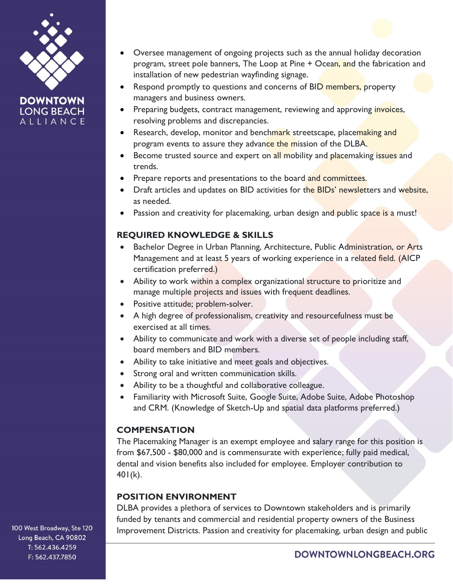

**DOWNTOWN LONG BEACH** ALLIANCE

- Oversee management of ongoing projects such as the annual holiday decoration program, street pole banners, The Loop at Pine + Ocean, and the fabrication and installation of new pedestrian wayfinding signage.
- Respond promptly to questions and concerns of BID members, property managers and business owners.
- Preparing budgets, contract management, reviewing and approving invoices, resolving problems and discrepancies.
- Research, develop, monitor and benchmark streetscape, placemaking and program events to assure they advance the mission of the DLBA.
- Become trusted source and expert on all mobility and placemaking issues and trends.
- Prepare reports and presentations to the board and committees.
- Draft articles and updates on BID activities for the BIDs' newsletters and website, as needed.
- Passion and creativity for placemaking, urban design and public space is a must!

## **REQUIRED KNOWLEDGE & SKILLS**

- Bachelor Degree in Urban Planning, Architecture, Public Administration, or Arts Management and at least 5 years of working experience in a related field. (AICP certification preferred.)
- Ability to work within a complex organizational structure to prioritize and manage multiple projects and issues with frequent deadlines.
- Positive attitude; problem-solver.
- A high degree of professionalism, creativity and resourcefulness must be exercised at all times.
- Ability to communicate and work with a diverse set of people including staff, board members and BID members.
- Ability to take initiative and meet goals and objectives.
- Strong oral and written communication skills.
- Ability to be a thoughtful and collaborative colleague.
- Familiarity with Microsoft Suite, Google Suite, Adobe Suite, Adobe Photoshop and CRM. (Knowledge of Sketch-Up and spatial data platforms preferred.)

# **COMPENSATION**

The Placemaking Manager is an exempt employee and salary range for this position is from \$67,500 - \$80,000 and is commensurate with experience; fully paid medical, dental and vision benefits also included for employee. Employer contribution to  $401(k)$ .

# **POSITION ENVIRONMENT**

DLBA provides a plethora of services to Downtown stakeholders and is primarily funded by tenants and commercial and residential property owners of the Business Improvement Districts. Passion and creativity for placemaking, urban design and public

100 West Broadway, Ste 120 Long Beach, CA 90802 T: 562.436.4259 F: 562.437.7850